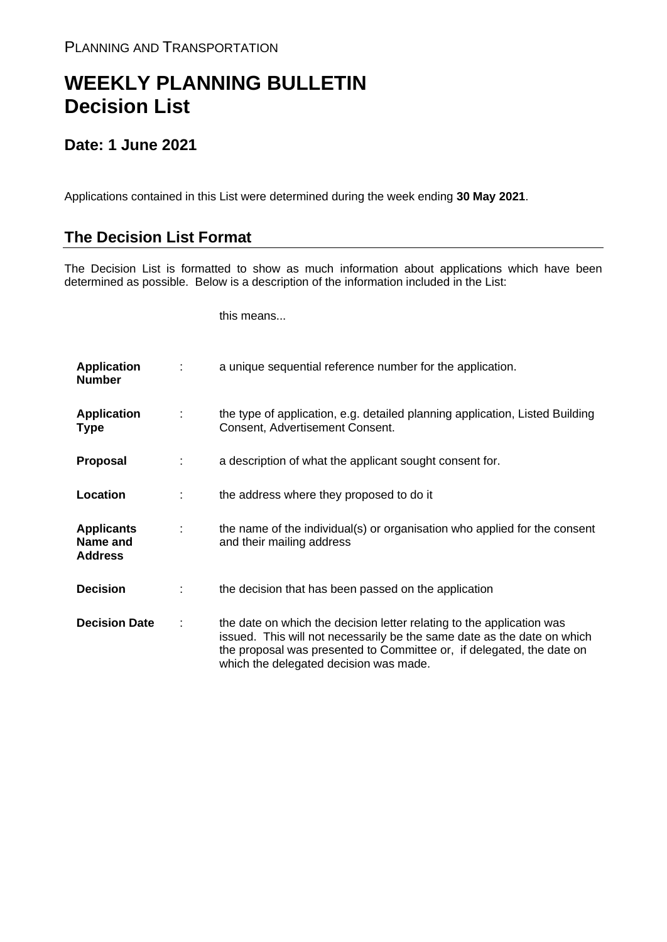## **WEEKLY PLANNING BULLETIN Decision List**

## **Date: 1 June 2021**

Applications contained in this List were determined during the week ending **30 May 2021**.

## **The Decision List Format**

The Decision List is formatted to show as much information about applications which have been determined as possible. Below is a description of the information included in the List:

this means...

| <b>Application</b><br><b>Number</b>             |   | a unique sequential reference number for the application.                                                                                                                                                                                                           |
|-------------------------------------------------|---|---------------------------------------------------------------------------------------------------------------------------------------------------------------------------------------------------------------------------------------------------------------------|
| <b>Application</b><br><b>Type</b>               | ÷ | the type of application, e.g. detailed planning application, Listed Building<br>Consent, Advertisement Consent.                                                                                                                                                     |
| <b>Proposal</b>                                 |   | a description of what the applicant sought consent for.                                                                                                                                                                                                             |
| Location                                        |   | the address where they proposed to do it                                                                                                                                                                                                                            |
| <b>Applicants</b><br>Name and<br><b>Address</b> |   | the name of the individual(s) or organisation who applied for the consent<br>and their mailing address                                                                                                                                                              |
| <b>Decision</b>                                 |   | the decision that has been passed on the application                                                                                                                                                                                                                |
| <b>Decision Date</b>                            |   | the date on which the decision letter relating to the application was<br>issued. This will not necessarily be the same date as the date on which<br>the proposal was presented to Committee or, if delegated, the date on<br>which the delegated decision was made. |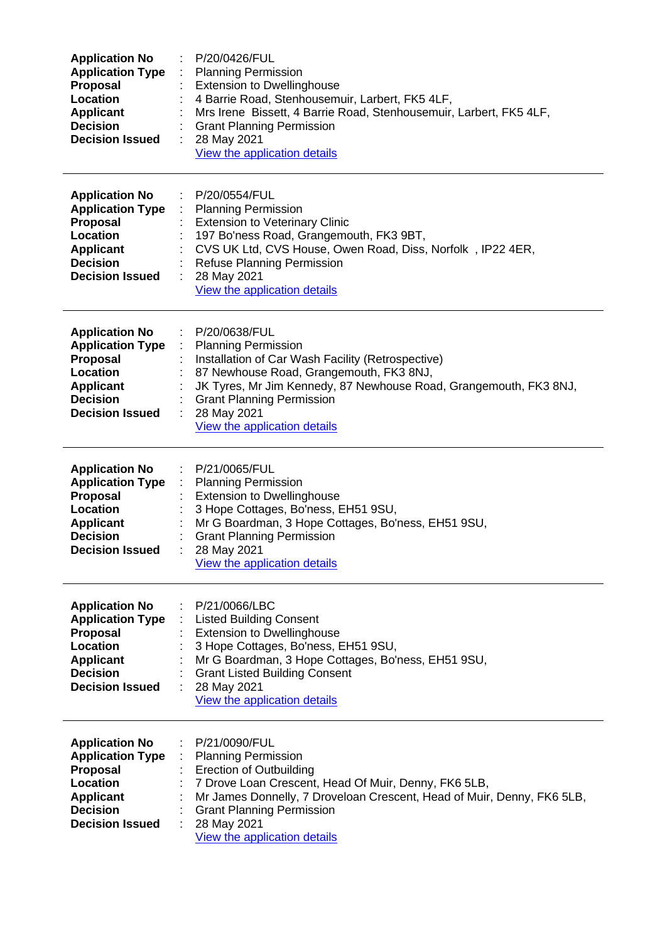| <b>Application No</b><br><b>Application Type</b><br>Proposal<br>Location<br><b>Applicant</b><br><b>Decision</b><br><b>Decision Issued</b>        | P/20/0426/FUL<br><b>Planning Permission</b><br><b>Extension to Dwellinghouse</b><br>4 Barrie Road, Stenhousemuir, Larbert, FK5 4LF,<br>Mrs Irene Bissett, 4 Barrie Road, Stenhousemuir, Larbert, FK5 4LF,<br><b>Grant Planning Permission</b><br>28 May 2021<br>View the application details        |
|--------------------------------------------------------------------------------------------------------------------------------------------------|-----------------------------------------------------------------------------------------------------------------------------------------------------------------------------------------------------------------------------------------------------------------------------------------------------|
| <b>Application No</b><br><b>Application Type</b><br>Proposal<br>Location<br><b>Applicant</b><br><b>Decision</b><br><b>Decision Issued</b>        | P/20/0554/FUL<br><b>Planning Permission</b><br>÷<br><b>Extension to Veterinary Clinic</b><br>197 Bo'ness Road, Grangemouth, FK3 9BT,<br>CVS UK Ltd, CVS House, Owen Road, Diss, Norfolk, IP22 4ER,<br>Refuse Planning Permission<br>28 May 2021<br>View the application details                     |
| <b>Application No</b><br><b>Application Type</b><br><b>Proposal</b><br>Location<br><b>Applicant</b><br><b>Decision</b><br><b>Decision Issued</b> | P/20/0638/FUL<br><b>Planning Permission</b><br>Installation of Car Wash Facility (Retrospective)<br>87 Newhouse Road, Grangemouth, FK3 8NJ,<br>JK Tyres, Mr Jim Kennedy, 87 Newhouse Road, Grangemouth, FK3 8NJ,<br><b>Grant Planning Permission</b><br>28 May 2021<br>View the application details |
| <b>Application No</b><br><b>Application Type</b><br><b>Proposal</b><br>Location<br><b>Applicant</b><br><b>Decision</b><br><b>Decision Issued</b> | P/21/0065/FUL<br><b>Planning Permission</b><br><b>Extension to Dwellinghouse</b><br>3 Hope Cottages, Bo'ness, EH51 9SU,<br>Mr G Boardman, 3 Hope Cottages, Bo'ness, EH51 9SU,<br><b>Grant Planning Permission</b><br>28 May 2021<br>View the application details                                    |
| <b>Application No</b><br><b>Application Type</b><br>Proposal<br>Location<br><b>Applicant</b><br><b>Decision</b><br><b>Decision Issued</b>        | P/21/0066/LBC<br><b>Listed Building Consent</b><br><b>Extension to Dwellinghouse</b><br>3 Hope Cottages, Bo'ness, EH51 9SU,<br>Mr G Boardman, 3 Hope Cottages, Bo'ness, EH51 9SU,<br><b>Grant Listed Building Consent</b><br>28 May 2021<br>View the application details                            |
| <b>Application No</b><br><b>Application Type</b><br>Proposal<br>Location<br><b>Applicant</b><br><b>Decision</b><br><b>Decision Issued</b>        | P/21/0090/FUL<br><b>Planning Permission</b><br><b>Erection of Outbuilding</b><br>7 Drove Loan Crescent, Head Of Muir, Denny, FK6 5LB,<br>Mr James Donnelly, 7 Droveloan Crescent, Head of Muir, Denny, FK6 5LB,<br><b>Grant Planning Permission</b><br>28 May 2021<br>View the application details  |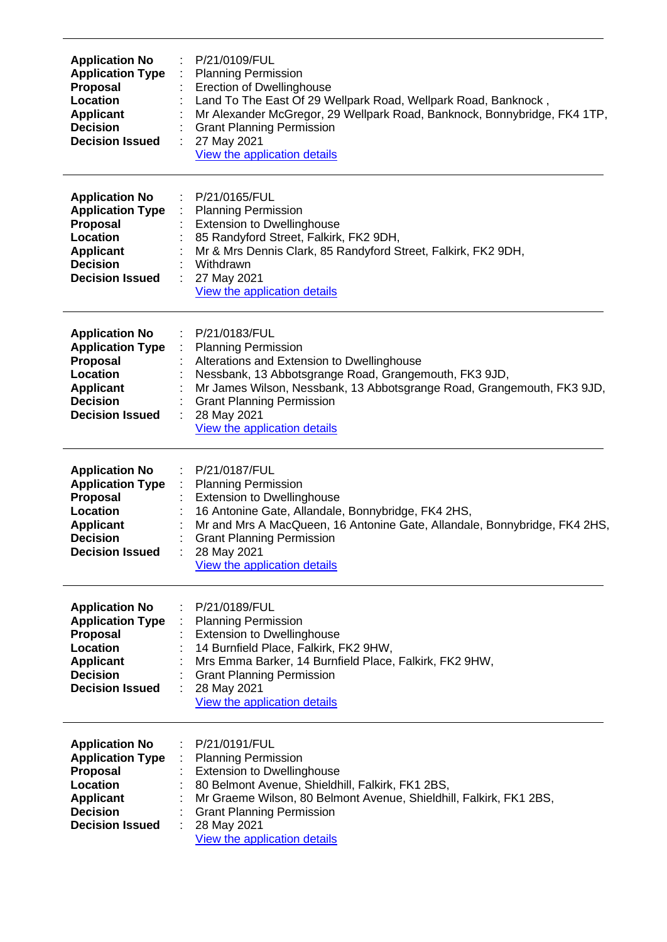| <b>Application No</b><br><b>Application Type</b><br><b>Proposal</b><br>Location<br><b>Applicant</b><br><b>Decision</b><br><b>Decision Issued</b> | P/21/0109/FUL<br><b>Planning Permission</b><br><b>Erection of Dwellinghouse</b><br>Land To The East Of 29 Wellpark Road, Wellpark Road, Banknock,<br>Mr Alexander McGregor, 29 Wellpark Road, Banknock, Bonnybridge, FK4 1TP,<br><b>Grant Planning Permission</b><br>27 May 2021<br>÷<br>View the application details |
|--------------------------------------------------------------------------------------------------------------------------------------------------|-----------------------------------------------------------------------------------------------------------------------------------------------------------------------------------------------------------------------------------------------------------------------------------------------------------------------|
| <b>Application No</b><br><b>Application Type</b><br>Proposal<br>Location<br><b>Applicant</b><br><b>Decision</b><br><b>Decision Issued</b>        | P/21/0165/FUL<br><b>Planning Permission</b><br><b>Extension to Dwellinghouse</b><br>85 Randyford Street, Falkirk, FK2 9DH,<br>Mr & Mrs Dennis Clark, 85 Randyford Street, Falkirk, FK2 9DH,<br>Withdrawn<br>27 May 2021<br>View the application details                                                               |
| <b>Application No</b><br><b>Application Type</b><br><b>Proposal</b><br>Location<br><b>Applicant</b><br><b>Decision</b><br><b>Decision Issued</b> | P/21/0183/FUL<br><b>Planning Permission</b><br>Alterations and Extension to Dwellinghouse<br>Nessbank, 13 Abbotsgrange Road, Grangemouth, FK3 9JD,<br>Mr James Wilson, Nessbank, 13 Abbotsgrange Road, Grangemouth, FK3 9JD,<br><b>Grant Planning Permission</b><br>28 May 2021<br>View the application details       |
| <b>Application No</b><br><b>Application Type</b><br>Proposal<br>Location<br><b>Applicant</b><br><b>Decision</b><br><b>Decision Issued</b>        | P/21/0187/FUL<br>÷<br><b>Planning Permission</b><br><b>Extension to Dwellinghouse</b><br>16 Antonine Gate, Allandale, Bonnybridge, FK4 2HS,<br>Mr and Mrs A MacQueen, 16 Antonine Gate, Allandale, Bonnybridge, FK4 2HS,<br><b>Grant Planning Permission</b><br>28 May 2021<br>View the application details           |
| <b>Application No</b><br><b>Application Type</b><br><b>Proposal</b><br>Location<br><b>Applicant</b><br><b>Decision</b><br><b>Decision Issued</b> | P/21/0189/FUL<br><b>Planning Permission</b><br><b>Extension to Dwellinghouse</b><br>14 Burnfield Place, Falkirk, FK2 9HW,<br>Mrs Emma Barker, 14 Burnfield Place, Falkirk, FK2 9HW,<br><b>Grant Planning Permission</b><br>28 May 2021<br>View the application details                                                |
| <b>Application No</b><br><b>Application Type</b><br><b>Proposal</b><br>Location<br><b>Applicant</b><br><b>Decision</b><br><b>Decision Issued</b> | P/21/0191/FUL<br><b>Planning Permission</b><br><b>Extension to Dwellinghouse</b><br>80 Belmont Avenue, Shieldhill, Falkirk, FK1 2BS,<br>Mr Graeme Wilson, 80 Belmont Avenue, Shieldhill, Falkirk, FK1 2BS,<br><b>Grant Planning Permission</b><br>28 May 2021<br>View the application details                         |